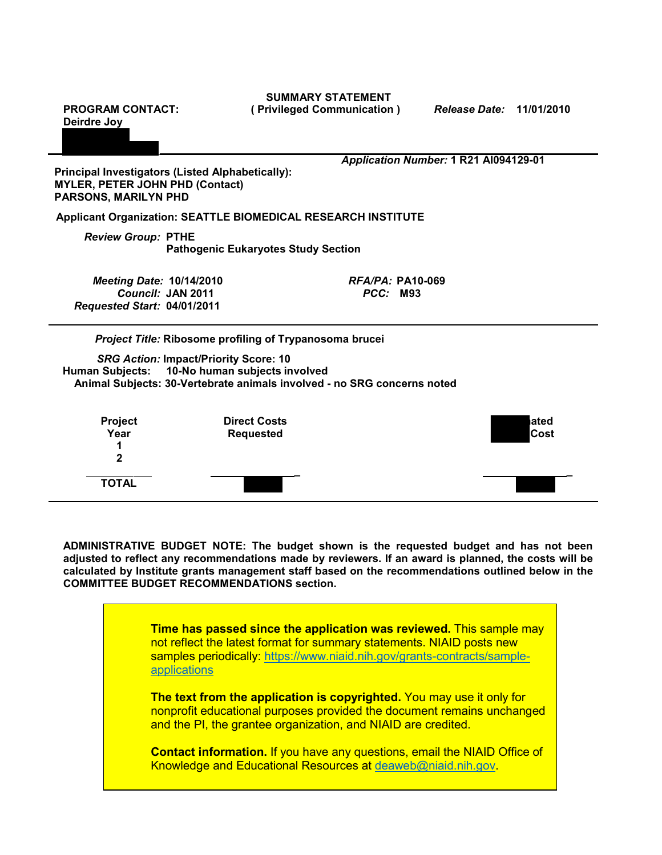| (Privileged Communication)                              | <i><b>Release Date:</b></i>                                                   | 11/01/2010                                                                                                                                                                                                                  |
|---------------------------------------------------------|-------------------------------------------------------------------------------|-----------------------------------------------------------------------------------------------------------------------------------------------------------------------------------------------------------------------------|
|                                                         |                                                                               |                                                                                                                                                                                                                             |
| Principal Investigators (Listed Alphabetically):        |                                                                               |                                                                                                                                                                                                                             |
|                                                         |                                                                               |                                                                                                                                                                                                                             |
| <b>Pathogenic Eukaryotes Study Section</b>              |                                                                               |                                                                                                                                                                                                                             |
|                                                         |                                                                               |                                                                                                                                                                                                                             |
| Project Title: Ribosome profiling of Trypanosoma brucei |                                                                               |                                                                                                                                                                                                                             |
|                                                         |                                                                               |                                                                                                                                                                                                                             |
|                                                         |                                                                               |                                                                                                                                                                                                                             |
|                                                         |                                                                               |                                                                                                                                                                                                                             |
| <b>Direct Costs</b>                                     |                                                                               | lated                                                                                                                                                                                                                       |
| <b>Requested</b>                                        |                                                                               | Cost                                                                                                                                                                                                                        |
|                                                         |                                                                               |                                                                                                                                                                                                                             |
|                                                         |                                                                               |                                                                                                                                                                                                                             |
|                                                         |                                                                               |                                                                                                                                                                                                                             |
|                                                         | <b>SRG Action: Impact/Priority Score: 10</b><br>10-No human subjects involved | Application Number: 1 R21 Al094129-01<br>Applicant Organization: SEATTLE BIOMEDICAL RESEARCH INSTITUTE<br>$RFA/PA$ : PA10-069<br><b>PCC: M93</b><br>Animal Subjects: 30-Vertebrate animals involved - no SRG concerns noted |

**ADMINISTRATIVE BUDGET NOTE: The budget shown is the requested budget and has not been adjusted to reflect any recommendations made by reviewers. If an award is planned, the costs will be calculated by Institute grants management staff based on the recommendations outlined below in the COMMITTEE BUDGET RECOMMENDATIONS section.**

> **Time has passed since the application was reviewed.** This sample may not reflect the latest format for summary statements. NIAID posts new samples periodically: [https://www.niaid.nih.gov/grants-contracts/sample](https://www.niaid.nih.gov/grants-contracts/sample-applications)[applications](https://www.niaid.nih.gov/grants-contracts/sample-applications)

**The text from the application is copyrighted.** You may use it only for nonprofit educational purposes provided the document remains unchanged and the PI, the grantee organization, and NIAID are credited.

**Contact information.** If you have any questions, email the NIAID Office of Knowledge and Educational Resources at [deaweb@niaid.nih.gov.](mailto:deaweb@niaid.nih.gov)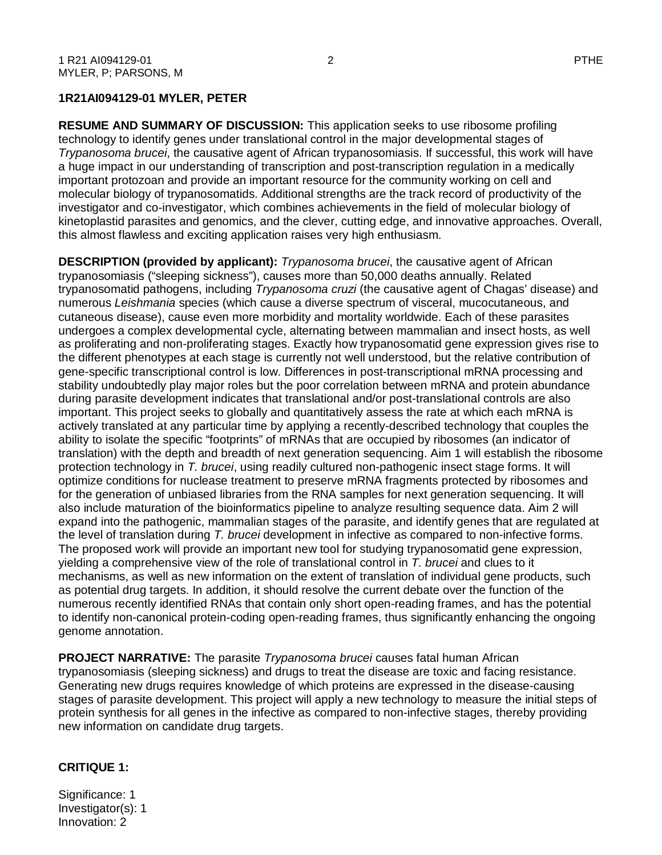#### **1R21AI094129-01 MYLER, PETER**

**RESUME AND SUMMARY OF DISCUSSION:** This application seeks to use ribosome profiling technology to identify genes under translational control in the major developmental stages of *Trypanosoma brucei*, the causative agent of African trypanosomiasis. If successful, this work will have a huge impact in our understanding of transcription and post-transcription regulation in a medically important protozoan and provide an important resource for the community working on cell and molecular biology of trypanosomatids. Additional strengths are the track record of productivity of the investigator and co-investigator, which combines achievements in the field of molecular biology of kinetoplastid parasites and genomics, and the clever, cutting edge, and innovative approaches. Overall, this almost flawless and exciting application raises very high enthusiasm.

**DESCRIPTION (provided by applicant):** *Trypanosoma brucei*, the causative agent of African trypanosomiasis ("sleeping sickness"), causes more than 50,000 deaths annually. Related trypanosomatid pathogens, including *Trypanosoma cruzi* (the causative agent of Chagas' disease) and numerous *Leishmania* species (which cause a diverse spectrum of visceral, mucocutaneous, and cutaneous disease), cause even more morbidity and mortality worldwide. Each of these parasites undergoes a complex developmental cycle, alternating between mammalian and insect hosts, as well as proliferating and non-proliferating stages. Exactly how trypanosomatid gene expression gives rise to the different phenotypes at each stage is currently not well understood, but the relative contribution of gene-specific transcriptional control is low. Differences in post-transcriptional mRNA processing and stability undoubtedly play major roles but the poor correlation between mRNA and protein abundance during parasite development indicates that translational and/or post-translational controls are also important. This project seeks to globally and quantitatively assess the rate at which each mRNA is actively translated at any particular time by applying a recently-described technology that couples the ability to isolate the specific "footprints" of mRNAs that are occupied by ribosomes (an indicator of translation) with the depth and breadth of next generation sequencing. Aim 1 will establish the ribosome protection technology in *T. brucei*, using readily cultured non-pathogenic insect stage forms. It will optimize conditions for nuclease treatment to preserve mRNA fragments protected by ribosomes and for the generation of unbiased libraries from the RNA samples for next generation sequencing. It will also include maturation of the bioinformatics pipeline to analyze resulting sequence data. Aim 2 will expand into the pathogenic, mammalian stages of the parasite, and identify genes that are regulated at the level of translation during *T. brucei* development in infective as compared to non-infective forms. The proposed work will provide an important new tool for studying trypanosomatid gene expression, yielding a comprehensive view of the role of translational control in *T. brucei* and clues to it mechanisms, as well as new information on the extent of translation of individual gene products, such as potential drug targets. In addition, it should resolve the current debate over the function of the numerous recently identified RNAs that contain only short open-reading frames, and has the potential to identify non-canonical protein-coding open-reading frames, thus significantly enhancing the ongoing genome annotation.

**PROJECT NARRATIVE:** The parasite *Trypanosoma brucei* causes fatal human African trypanosomiasis (sleeping sickness) and drugs to treat the disease are toxic and facing resistance. Generating new drugs requires knowledge of which proteins are expressed in the disease-causing stages of parasite development. This project will apply a new technology to measure the initial steps of protein synthesis for all genes in the infective as compared to non-infective stages, thereby providing new information on candidate drug targets.

#### **CRITIQUE 1:**

Significance: 1 Investigator(s): 1 Innovation: 2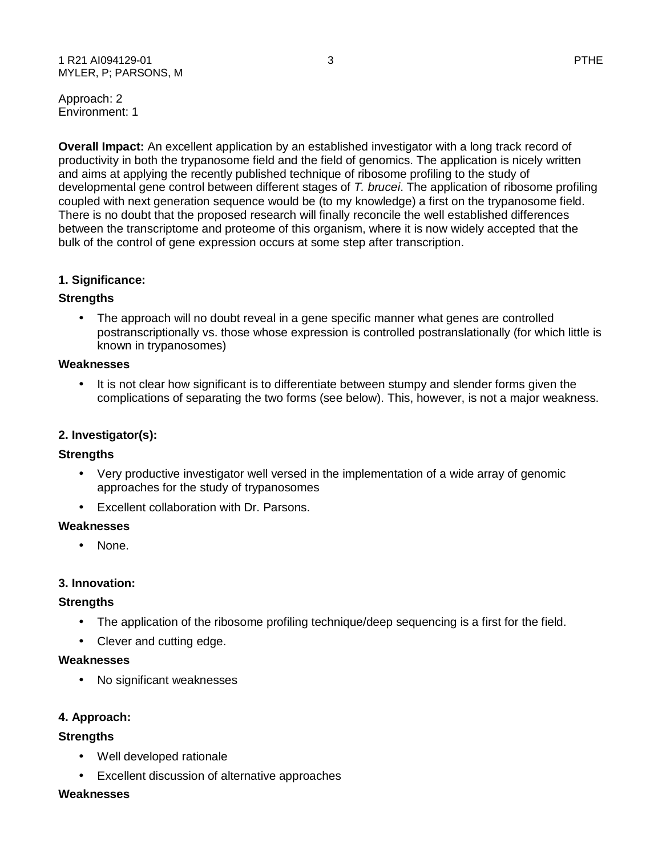Approach: 2 Environment: 1

**Overall Impact:** An excellent application by an established investigator with a long track record of productivity in both the trypanosome field and the field of genomics. The application is nicely written and aims at applying the recently published technique of ribosome profiling to the study of developmental gene control between different stages of *T. brucei*. The application of ribosome profiling coupled with next generation sequence would be (to my knowledge) a first on the trypanosome field. There is no doubt that the proposed research will finally reconcile the well established differences between the transcriptome and proteome of this organism, where it is now widely accepted that the bulk of the control of gene expression occurs at some step after transcription.

## **1. Significance:**

## **Strengths**

• The approach will no doubt reveal in a gene specific manner what genes are controlled postranscriptionally vs. those whose expression is controlled postranslationally (for which little is known in trypanosomes)

## **Weaknesses**

• It is not clear how significant is to differentiate between stumpy and slender forms given the complications of separating the two forms (see below). This, however, is not a major weakness.

# **2. Investigator(s):**

## **Strengths**

- Very productive investigator well versed in the implementation of a wide array of genomic approaches for the study of trypanosomes
- Excellent collaboration with Dr. Parsons.

## **Weaknesses**

• None.

## **3. Innovation:**

## **Strengths**

- The application of the ribosome profiling technique/deep sequencing is a first for the field.
- Clever and cutting edge.

## **Weaknesses**

• No significant weaknesses

## **4. Approach:**

# **Strengths**

- Well developed rationale
- Excellent discussion of alternative approaches

## **Weaknesses**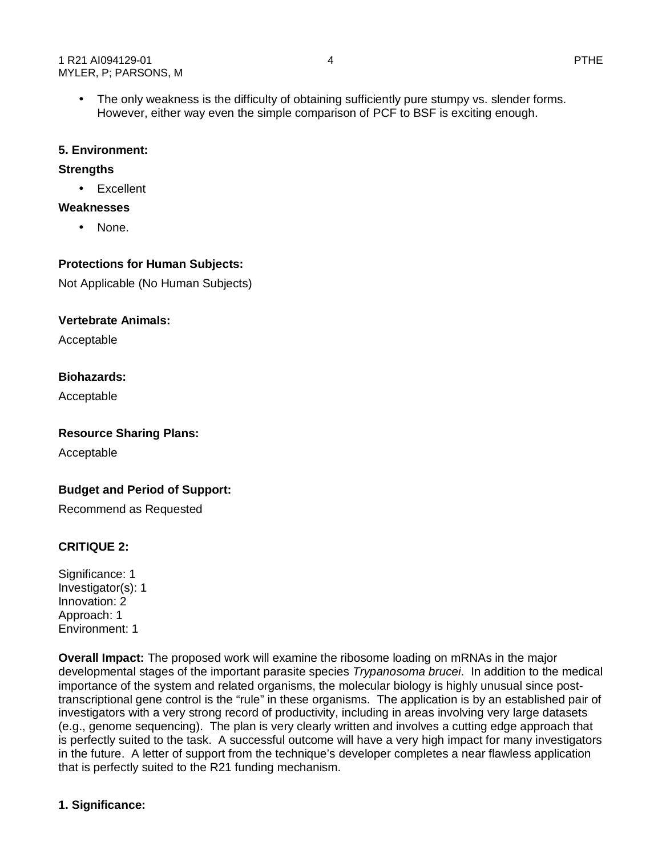• The only weakness is the difficulty of obtaining sufficiently pure stumpy vs. slender forms. However, either way even the simple comparison of PCF to BSF is exciting enough.

#### **5. Environment:**

#### **Strengths**

• Excellent

#### **Weaknesses**

• None.

#### **Protections for Human Subjects:**

Not Applicable (No Human Subjects)

#### **Vertebrate Animals:**

Acceptable

#### **Biohazards:**

Acceptable

#### **Resource Sharing Plans:**

Acceptable

## **Budget and Period of Support:**

Recommend as Requested

## **CRITIQUE 2:**

Significance: 1 Investigator(s): 1 Innovation: 2 Approach: 1 Environment: 1

**Overall Impact:** The proposed work will examine the ribosome loading on mRNAs in the major developmental stages of the important parasite species *Trypanosoma brucei*. In addition to the medical importance of the system and related organisms, the molecular biology is highly unusual since posttranscriptional gene control is the "rule" in these organisms. The application is by an established pair of investigators with a very strong record of productivity, including in areas involving very large datasets (e.g., genome sequencing). The plan is very clearly written and involves a cutting edge approach that is perfectly suited to the task. A successful outcome will have a very high impact for many investigators in the future. A letter of support from the technique's developer completes a near flawless application that is perfectly suited to the R21 funding mechanism.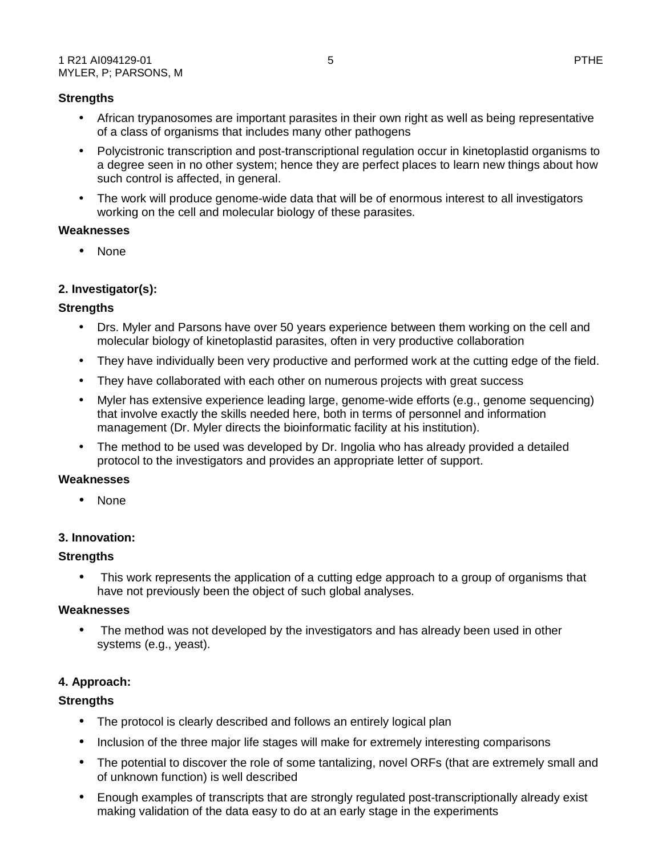#### **Strengths**

- African trypanosomes are important parasites in their own right as well as being representative of a class of organisms that includes many other pathogens
- Polycistronic transcription and post-transcriptional regulation occur in kinetoplastid organisms to a degree seen in no other system; hence they are perfect places to learn new things about how such control is affected, in general.
- The work will produce genome-wide data that will be of enormous interest to all investigators working on the cell and molecular biology of these parasites.

#### **Weaknesses**

• None

## **2. Investigator(s):**

## **Strengths**

- Drs. Myler and Parsons have over 50 years experience between them working on the cell and molecular biology of kinetoplastid parasites, often in very productive collaboration
- They have individually been very productive and performed work at the cutting edge of the field.
- They have collaborated with each other on numerous projects with great success
- Myler has extensive experience leading large, genome-wide efforts (e.g., genome sequencing) that involve exactly the skills needed here, both in terms of personnel and information management (Dr. Myler directs the bioinformatic facility at his institution).
- The method to be used was developed by Dr. Ingolia who has already provided a detailed protocol to the investigators and provides an appropriate letter of support.

#### **Weaknesses**

• None

## **3. Innovation:**

## **Strengths**

• This work represents the application of a cutting edge approach to a group of organisms that have not previously been the object of such global analyses.

#### **Weaknesses**

The method was not developed by the investigators and has already been used in other systems (e.g., yeast).

## **4. Approach:**

## **Strengths**

- The protocol is clearly described and follows an entirely logical plan
- Inclusion of the three major life stages will make for extremely interesting comparisons
- The potential to discover the role of some tantalizing, novel ORFs (that are extremely small and of unknown function) is well described
- Enough examples of transcripts that are strongly regulated post-transcriptionally already exist making validation of the data easy to do at an early stage in the experiments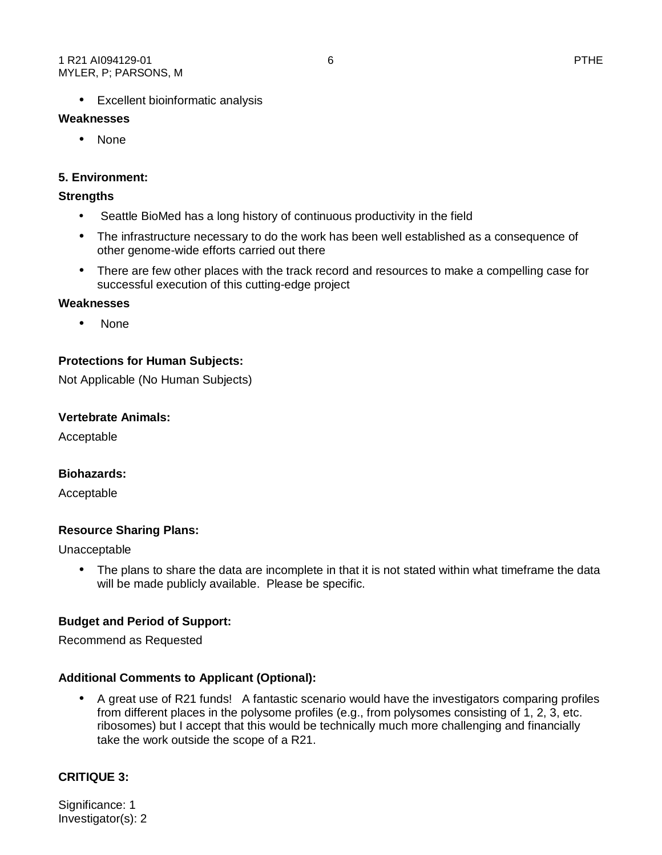• Excellent bioinformatic analysis

## **Weaknesses**

• None

# **5. Environment:**

## **Strengths**

- Seattle BioMed has a long history of continuous productivity in the field
- The infrastructure necessary to do the work has been well established as a consequence of other genome-wide efforts carried out there
- There are few other places with the track record and resources to make a compelling case for successful execution of this cutting-edge project

## **Weaknesses**

• None

# **Protections for Human Subjects:**

Not Applicable (No Human Subjects)

## **Vertebrate Animals:**

Acceptable

# **Biohazards:**

Acceptable

# **Resource Sharing Plans:**

Unacceptable

• The plans to share the data are incomplete in that it is not stated within what timeframe the data will be made publicly available. Please be specific.

# **Budget and Period of Support:**

Recommend as Requested

# **Additional Comments to Applicant (Optional):**

• A great use of R21 funds! A fantastic scenario would have the investigators comparing profiles from different places in the polysome profiles (e.g., from polysomes consisting of 1, 2, 3, etc. ribosomes) but I accept that this would be technically much more challenging and financially take the work outside the scope of a R21.

# **CRITIQUE 3:**

Significance: 1 Investigator(s): 2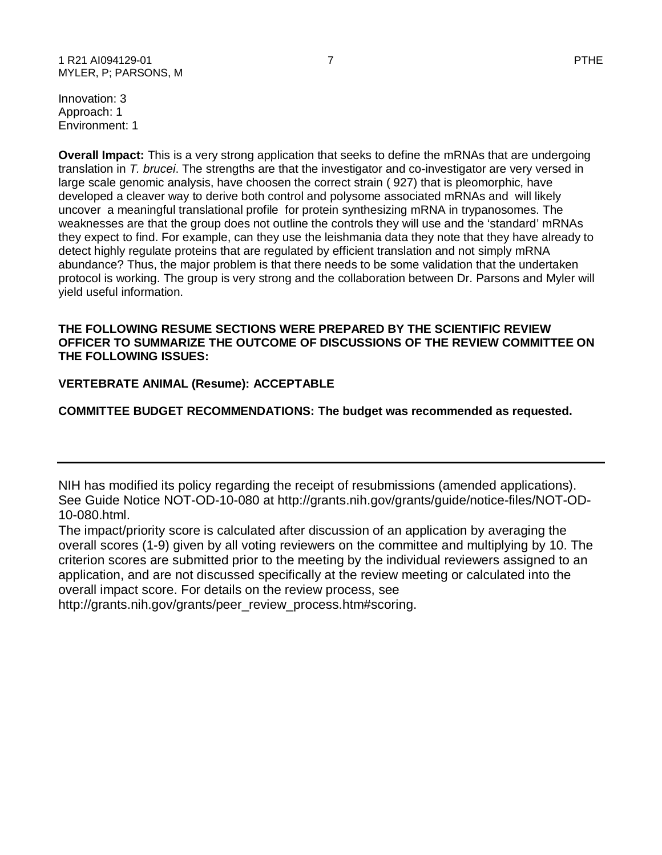Innovation: 3 Approach: 1 Environment: 1

**Overall Impact:** This is a very strong application that seeks to define the mRNAs that are undergoing translation in *T. brucei*. The strengths are that the investigator and co-investigator are very versed in large scale genomic analysis, have choosen the correct strain ( 927) that is pleomorphic, have developed a cleaver way to derive both control and polysome associated mRNAs and will likely uncover a meaningful translational profile for protein synthesizing mRNA in trypanosomes. The weaknesses are that the group does not outline the controls they will use and the 'standard' mRNAs they expect to find. For example, can they use the leishmania data they note that they have already to detect highly regulate proteins that are regulated by efficient translation and not simply mRNA abundance? Thus, the major problem is that there needs to be some validation that the undertaken protocol is working. The group is very strong and the collaboration between Dr. Parsons and Myler will yield useful information.

#### **THE FOLLOWING RESUME SECTIONS WERE PREPARED BY THE SCIENTIFIC REVIEW OFFICER TO SUMMARIZE THE OUTCOME OF DISCUSSIONS OF THE REVIEW COMMITTEE ON THE FOLLOWING ISSUES:**

## **VERTEBRATE ANIMAL (Resume): ACCEPTABLE**

**COMMITTEE BUDGET RECOMMENDATIONS: The budget was recommended as requested.** 

http://grants.nih.gov/grants/peer\_review\_process.htm#scoring.

NIH has modified its policy regarding the receipt of resubmissions (amended applications). See Guide Notice NOT-OD-10-080 at http://grants.nih.gov/grants/guide/notice-files/NOT-OD-10-080.html.

The impact/priority score is calculated after discussion of an application by averaging the overall scores (1-9) given by all voting reviewers on the committee and multiplying by 10. The criterion scores are submitted prior to the meeting by the individual reviewers assigned to an application, and are not discussed specifically at the review meeting or calculated into the overall impact score. For details on the review process, see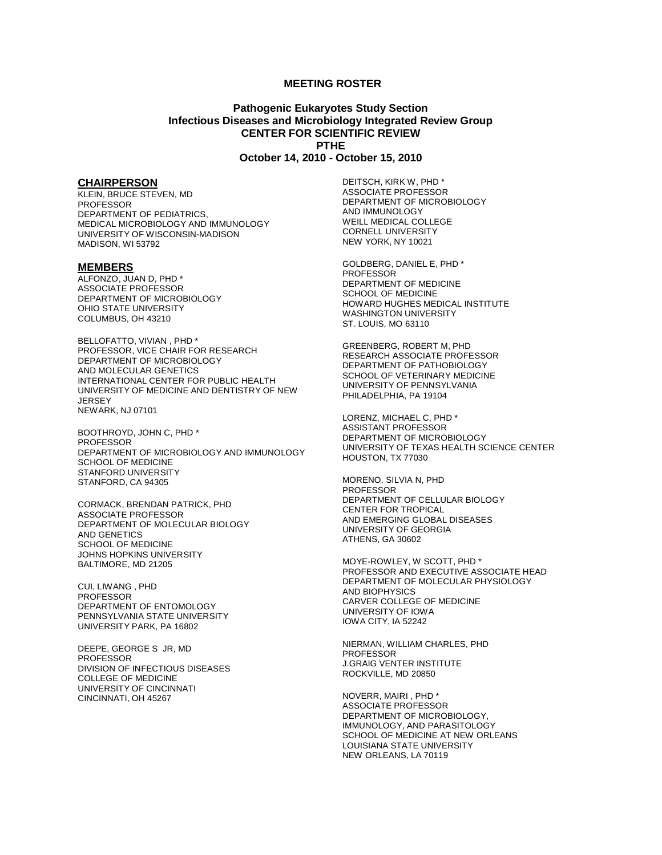#### **MEETING ROSTER**

#### **Pathogenic Eukaryotes Study Section Infectious Diseases and Microbiology Integrated Review Group CENTER FOR SCIENTIFIC REVIEW PTHE October 14, 2010 - October 15, 2010**

#### **CHAIRPERSON**

KLEIN, BRUCE STEVEN, MD PROFESSOR DEPARTMENT OF PEDIATRICS, MEDICAL MICROBIOLOGY AND IMMUNOLOGY UNIVERSITY OF WISCONSIN-MADISON MADISON, WI 53792

#### **MEMBERS**

ALFONZO, JUAN D, PHD \* ASSOCIATE PROFESSOR DEPARTMENT OF MICROBIOLOGY OHIO STATE UNIVERSITY COLUMBUS, OH 43210

BELLOFATTO, VIVIAN , PHD \* PROFESSOR, VICE CHAIR FOR RESEARCH DEPARTMENT OF MICROBIOLOGY AND MOLECULAR GENETICS INTERNATIONAL CENTER FOR PUBLIC HEALTH UNIVERSITY OF MEDICINE AND DENTISTRY OF NEW **JERSEY** NEWARK, NJ 07101

BOOTHROYD, JOHN C, PHD \* PROFESSOR DEPARTMENT OF MICROBIOLOGY AND IMMUNOLOGY SCHOOL OF MEDICINE STANFORD UNIVERSITY STANFORD, CA 94305

CORMACK, BRENDAN PATRICK, PHD ASSOCIATE PROFESSOR DEPARTMENT OF MOLECULAR BIOLOGY AND GENETICS SCHOOL OF MEDICINE JOHNS HOPKINS UNIVERSITY BALTIMORE, MD 21205

CUI, LIWANG , PHD PROFESSOR DEPARTMENT OF ENTOMOLOGY PENNSYLVANIA STATE UNIVERSITY UNIVERSITY PARK, PA 16802

DEEPE, GEORGE S JR, MD PROFESSOR DIVISION OF INFECTIOUS DISEASES COLLEGE OF MEDICINE UNIVERSITY OF CINCINNATI CINCINNATI, OH 45267

DEITSCH, KIRK W, PHD \* ASSOCIATE PROFESSOR DEPARTMENT OF MICROBIOLOGY AND IMMUNOLOGY WEILL MEDICAL COLLEGE CORNELL UNIVERSITY NEW YORK, NY 10021

GOLDBERG, DANIEL E, PHD \* PROFESSOR DEPARTMENT OF MEDICINE SCHOOL OF MEDICINE HOWARD HUGHES MEDICAL INSTITUTE WASHINGTON UNIVERSITY ST. LOUIS, MO 63110

GREENBERG, ROBERT M, PHD RESEARCH ASSOCIATE PROFESSOR DEPARTMENT OF PATHOBIOLOGY SCHOOL OF VETERINARY MEDICINE UNIVERSITY OF PENNSYLVANIA PHILADELPHIA, PA 19104

LORENZ, MICHAEL C, PHD \* ASSISTANT PROFESSOR DEPARTMENT OF MICROBIOLOGY UNIVERSITY OF TEXAS HEALTH SCIENCE CENTER HOUSTON, TX 77030

MORENO, SILVIA N, PHD PROFESSOR DEPARTMENT OF CELLULAR BIOLOGY CENTER FOR TROPICAL AND EMERGING GLOBAL DISEASES UNIVERSITY OF GEORGIA ATHENS, GA 30602

MOYE-ROWLEY, W SCOTT, PHD \* PROFESSOR AND EXECUTIVE ASSOCIATE HEAD DEPARTMENT OF MOLECULAR PHYSIOLOGY AND BIOPHYSICS CARVER COLLEGE OF MEDICINE UNIVERSITY OF IOWA IOWA CITY, IA 52242

NIERMAN, WILLIAM CHARLES, PHD PROFESSOR J.GRAIG VENTER INSTITUTE ROCKVILLE, MD 20850

NOVERR, MAIRI , PHD \* ASSOCIATE PROFESSOR DEPARTMENT OF MICROBIOLOGY, IMMUNOLOGY, AND PARASITOLOGY SCHOOL OF MEDICINE AT NEW ORLEANS LOUISIANA STATE UNIVERSITY NEW ORLEANS, LA 70119